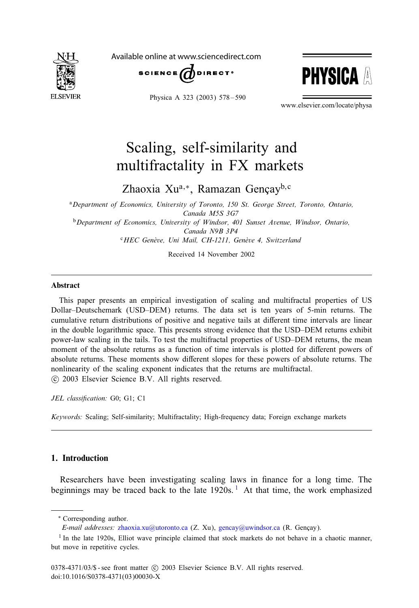

Available online at www.sciencedirect.com



Physica A 323 (2003) 578 – 590



www.elsevier.com/locate/physa

## Scaling, self-similarity and multifractality in FX markets

Zhaoxia Xu<sup>a,∗</sup>, Ramazan Gençay<sup>b, c</sup>

<sup>a</sup>*Department of Economics, University of Toronto, 150 St. George Street, Toronto, Ontario, Canada M5S 3G7* <sup>b</sup>*Department of Economics, University of Windsor, 401 Sunset Avenue, Windsor, Ontario, Canada N9B 3P4*

<sup>c</sup>HEC Genève, Uni Mail, CH-1211, Genève 4, Switzerland

Received 14 November 2002

## Abstract

This paper presents an empirical investigation of scaling and multifractal properties of US Dollar–Deutschemark (USD–DEM) returns. The data set is ten years of 5-min returns. The cumulative return distributions of positive and negative tails at different time intervals are linear in the double logarithmic space. This presents strong evidence that the USD–DEM returns exhibit power-law scaling in the tails. To test the multifractal properties of USD–DEM returns, the mean moment of the absolute returns as a function of time intervals is plotted for different powers of absolute returns. These moments show different slopes for these powers of absolute returns. The nonlinearity of the scaling exponent indicates that the returns are multifractal. -c 2003 Elsevier Science B.V. All rights reserved.

JEL classification: G0; G1; C1

*Keywords:* Scaling; Self-similarity; Multifractality; High-frequency data; Foreign exchange markets

## 1. Introduction

Researchers have been investigating scaling laws in finance for a long time. The beginnings may be traced back to the late 1920s.<sup>1</sup> At that time, the work emphasized

<sup>∗</sup> Correspondingauthor.

*E-mail addresses: [zhaoxia.xu@utoronto.ca](mailto:zhaoxia.xu@utoronto.ca) (Z. Xu), [gencay@uwindsor.ca](mailto:gencay@uwindsor.ca) (R. Gençay).* 

 $1$  In the late 1920s, Elliot wave principle claimed that stock markets do not behave in a chaotic manner, but move in repetitive cycles.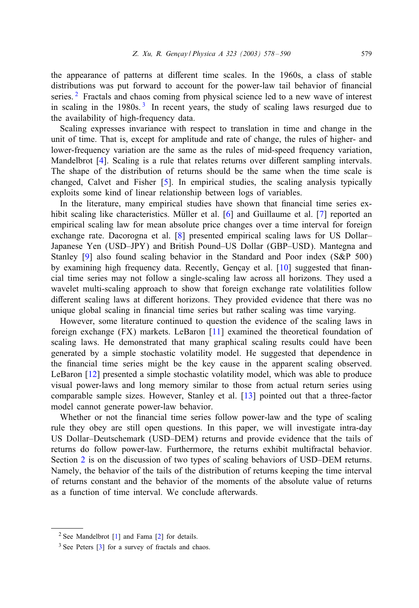the appearance of patterns at different time scales. In the 1960s, a class of stable distributions was put forward to account for the power-law tail behavior of financial series.  $2$  Fractals and chaos coming from physical science led to a new wave of interest in scaling in the  $1980s$ .<sup>3</sup> In recent years, the study of scaling laws resurged due to the availability of high-frequency data.

Scaling expresses invariance with respect to translation in time and change in the unit of time. That is, except for amplitude and rate of change, the rules of higher- and lower-frequency variation are the same as the rules of mid-speed frequency variation, Mandelbrot  $[4]$ . Scaling is a rule that relates returns over different sampling intervals. The shape of the distribution of returns should be the same when the time scale is changed, Calvet and Fisher  $[5]$ . In empirical studies, the scaling analysis typically exploits some kind of linear relationship between logs of variables.

In the literature, many empirical studies have shown that financial time series exhibit scaling like characteristics. Müller et al.  $[6]$  $[6]$  and Guillaume et al.  $[7]$  reported an empirical scaling law for mean absolute price changes over a time interval for foreign exchange rate. Dacorogna et al. [\[8\]](#page--1-0) presented empirical scaling laws for US Dollar– Japanese Yen (USD–JPY) and British Pound–US Dollar (GBP–USD). Mantegna and Stanley  $[9]$  also found scaling behavior in the Standard and Poor index (S&P 500) by examining high frequency data. Recently, Gençay et al.  $[10]$  suggested that financial time series may not follow a single-scaling law across all horizons. They used a wavelet multi-scaling approach to show that foreign exchange rate volatilities follow different scaling laws at different horizons. They provided evidence that there was no unique global scaling in financial time series but rather scaling was time varying.

However, some literature continued to question the evidence of the scaling laws in foreign exchange (FX) markets. LeBaron [\[11\]](#page--1-0) examined the theoretical foundation of scaling laws. He demonstrated that many graphical scaling results could have been generated by a simple stochastic volatility model. He suggested that dependence in the financial time series might be the key cause in the apparent scaling observed. LeBaron [\[12\]](#page--1-0) presented a simple stochastic volatility model, which was able to produce visual power-laws and long memory similar to those from actual return series using comparable sample sizes. However, Stanley et al. [\[13\]](#page--1-0) pointed out that a three-factor model cannot generate power-law behavior.

Whether or not the financial time series follow power-law and the type of scaling rule they obey are still open questions. In this paper, we will investigate intra-day US Dollar–Deutschemark (USD–DEM) returns and provide evidence that the tails of returns do follow power-law. Furthermore, the returns exhibit multifractal behavior. Section  $2$  is on the discussion of two types of scaling behaviors of USD–DEM returns. Namely, the behavior of the tails of the distribution of returns keeping the time interval of returns constant and the behavior of the moments of the absolute value of returns as a function of time interval. We conclude afterwards.

<sup>&</sup>lt;sup>2</sup> See Mandelbrot  $[1]$  and Fama  $[2]$  for details.

<sup>&</sup>lt;sup>3</sup> See Peters [\[3\]](#page--1-0) for a survey of fractals and chaos.